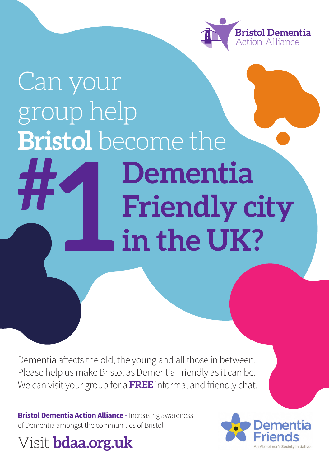

## Can your group help **Bristol** become the **Dementia Friendly city in the UK? #** I **h**<br>in

Dementia affects the old, the young and all those in between. Please help us make Bristol as Dementia Friendly as it can be. We can visit your group for a **FREE** informal and friendly chat.

**Bristol Dementia Action Alliance - Increasing awareness** of Dementia amongst the communities of Bristol